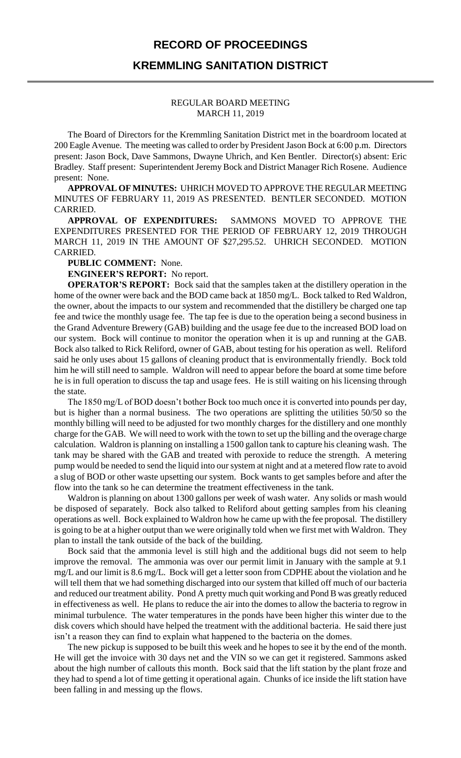## **RECORD OF PROCEEDINGS**

## **KREMMLING SANITATION DISTRICT**

## REGULAR BOARD MEETING MARCH 11, 2019

The Board of Directors for the Kremmling Sanitation District met in the boardroom located at 200 Eagle Avenue. The meeting was called to order by President Jason Bock at 6:00 p.m. Directors present: Jason Bock, Dave Sammons, Dwayne Uhrich, and Ken Bentler. Director(s) absent: Eric Bradley. Staff present: Superintendent Jeremy Bock and District Manager Rich Rosene. Audience present: None.

**APPROVAL OF MINUTES:** UHRICH MOVED TO APPROVE THE REGULAR MEETING MINUTES OF FEBRUARY 11, 2019 AS PRESENTED. BENTLER SECONDED. MOTION CARRIED.

**APPROVAL OF EXPENDITURES:** SAMMONS MOVED TO APPROVE THE EXPENDITURES PRESENTED FOR THE PERIOD OF FEBRUARY 12, 2019 THROUGH MARCH 11, 2019 IN THE AMOUNT OF \$27,295.52. UHRICH SECONDED. MOTION CARRIED.

**PUBLIC COMMENT:** None.

**ENGINEER'S REPORT:** No report.

**OPERATOR'S REPORT:** Bock said that the samples taken at the distillery operation in the home of the owner were back and the BOD came back at 1850 mg/L. Bock talked to Red Waldron, the owner, about the impacts to our system and recommended that the distillery be charged one tap fee and twice the monthly usage fee. The tap fee is due to the operation being a second business in the Grand Adventure Brewery (GAB) building and the usage fee due to the increased BOD load on our system. Bock will continue to monitor the operation when it is up and running at the GAB. Bock also talked to Rick Reliford, owner of GAB, about testing for his operation as well. Reliford said he only uses about 15 gallons of cleaning product that is environmentally friendly. Bock told him he will still need to sample. Waldron will need to appear before the board at some time before he is in full operation to discuss the tap and usage fees. He is still waiting on his licensing through the state.

The 1850 mg/L of BOD doesn't bother Bock too much once it is converted into pounds per day, but is higher than a normal business. The two operations are splitting the utilities 50/50 so the monthly billing will need to be adjusted for two monthly charges for the distillery and one monthly charge for the GAB. We will need to work with the town to set up the billing and the overage charge calculation. Waldron is planning on installing a 1500 gallon tank to capture his cleaning wash. The tank may be shared with the GAB and treated with peroxide to reduce the strength. A metering pump would be needed to send the liquid into our system at night and at a metered flow rate to avoid a slug of BOD or other waste upsetting our system. Bock wants to get samples before and after the flow into the tank so he can determine the treatment effectiveness in the tank.

Waldron is planning on about 1300 gallons per week of wash water. Any solids or mash would be disposed of separately. Bock also talked to Reliford about getting samples from his cleaning operations as well. Bock explained to Waldron how he came up with the fee proposal. The distillery is going to be at a higher output than we were originally told when we first met with Waldron. They plan to install the tank outside of the back of the building.

Bock said that the ammonia level is still high and the additional bugs did not seem to help improve the removal. The ammonia was over our permit limit in January with the sample at 9.1 mg/L and our limit is 8.6 mg/L. Bock will get a letter soon from CDPHE about the violation and he will tell them that we had something discharged into our system that killed off much of our bacteria and reduced our treatment ability. Pond A pretty much quit working and Pond B was greatly reduced in effectiveness as well. He plans to reduce the air into the domes to allow the bacteria to regrow in minimal turbulence. The water temperatures in the ponds have been higher this winter due to the disk covers which should have helped the treatment with the additional bacteria. He said there just isn't a reason they can find to explain what happened to the bacteria on the domes.

The new pickup is supposed to be built this week and he hopes to see it by the end of the month. He will get the invoice with 30 days net and the VIN so we can get it registered. Sammons asked about the high number of callouts this month. Bock said that the lift station by the plant froze and they had to spend a lot of time getting it operational again. Chunks of ice inside the lift station have been falling in and messing up the flows.